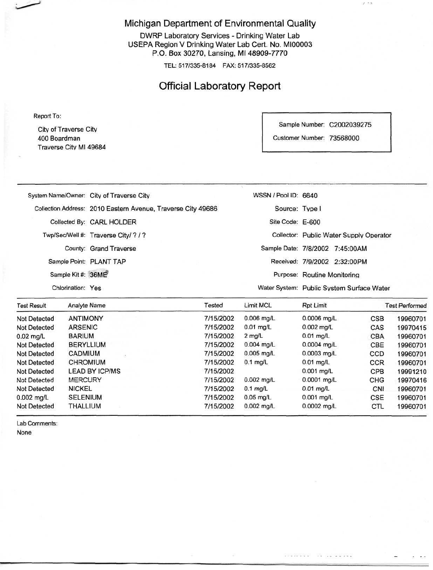#### Michigan Department of Environmental Quality

DWRP Laboratory Services - Drinking Water Lab USEPA Region V Drinking Water Lab Cert. No. MI00003 P.O. Box 30270, Lansing, Ml 48909-7770

TEL: 517/335-8184 FAX: 517/335-8562

## Official Laboratory Report

Report To:

Citv of Traverse City 400 Boardman Traverse City Ml 49684 Sample Number: C2002039275

 $\ell$  .  $\sim$ 

Customer Number: 73568000

| WANDA SUBJECT BOAR (TITLE | [3] 2012 12: 2012 12: 2012 12: 2012                          |                      | 나는 아이가 있는 것이 없어서 아이를 만들어 보았다.             |  |
|---------------------------|--------------------------------------------------------------|----------------------|-------------------------------------------|--|
| Chlorination: Yes         |                                                              |                      | Water System: Public System Surface Water |  |
| Sample Kit #: 36ME        |                                                              |                      | Purpose: Routine Monitoring               |  |
|                           | Sample Point: PLANT TAP                                      |                      | Received: 7/9/2002 2:32:00PM              |  |
|                           | County: Grand Traverse                                       |                      | Sample Date: 7/8/2002 7:45:00AM           |  |
|                           | Twp/Sec/Well #: Traverse City/ ? / ?                         |                      | Collector: Public Water Supply Operator   |  |
|                           | Collected By: CARL HOLDER                                    | Site Code: E-600     |                                           |  |
|                           | Collection Address: 2010 Eastern Avenue, Traverse City 49686 | Source: Type I       |                                           |  |
|                           | System Name/Owner: City of Traverse City                     | WSSN / Pool ID: 6640 |                                           |  |
|                           |                                                              |                      |                                           |  |

| <b>Test Result</b>  | Analyte Name          | Tested    |                  | Rpt Limit     | <b>Test Performed</b> |          |
|---------------------|-----------------------|-----------|------------------|---------------|-----------------------|----------|
| <b>Not Detected</b> | <b>ANTIMONY</b>       | 7/15/2002 | $0.006$ mg/L     | $0.0006$ mg/L | <b>CSB</b>            | 19960701 |
| <b>Not Detected</b> | <b>ARSENIC</b>        | 7/15/2002 | $0.01$ mg/L      | 0.002 mg/L    | CAS                   | 19970415 |
| $0.02$ mg/L         | <b>BARIUM</b>         | 7/15/2002 | $2 \text{ mq/L}$ | $0.01$ mg/L   | <b>CBA</b>            | 19960701 |
| Not Detected        | <b>BERYLLIUM</b>      | 7/15/2002 | $0.004$ mg/L     | $0.0004$ mg/L | CBE                   | 19960701 |
| <b>Not Detected</b> | <b>CADMIUM</b>        | 7/15/2002 | $0.005$ mg/L     | $0.0003$ mg/L | CCD                   | 19960701 |
| <b>Not Detected</b> | <b>CHROMIUM</b>       | 7/15/2002 | $0.1$ mg/L       | $0.01$ mg/L   | <b>CCR</b>            | 19960701 |
| Not Detected        | <b>LEAD BY ICP/MS</b> | 7/15/2002 |                  | $0.001$ mg/L  | CPB                   | 19991210 |
| Not Detected        | <b>MERCURY</b>        | 7/15/2002 | $0.002$ mg/L     | $0.0001$ mg/L | CHG                   | 19970416 |
| <b>Not Detected</b> | <b>NICKEL</b>         | 7/15/2002 | $0.1$ mg/L       | $0.01$ ma/L   | CNI                   | 19960701 |
| $0.002$ mg/L        | <b>SELENIUM</b>       | 7/15/2002 | $0.05$ mg/L      | $0.001$ mg/L  | CSE                   | 19960701 |
| <b>Not Detected</b> | THALLIUM              | 7/15/2002 | $0.002$ mg/L     | $0.0002$ mg/L | <b>CTL</b>            | 19960701 |

Lab Comments: None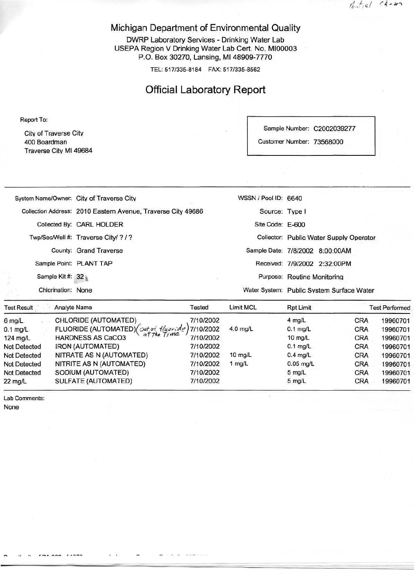$t_{e} + q_{e}$  chom

#### Michigan Department of Environmental Quality

DWRP Laboratory Services - Drinking Water Lab USEPA Region V Drinking Water Lab Cert. No. MI00003 P.O. Box 30270, Lansing, Ml 48909-7770

TEL: 517/335-8184 FAX: 517/335-8562

### Official Laboratory Report

Report To:

City of Traverse Citv 400 Boardman Traverse City Ml 49684 Sample Number: C2002039277

Customer Number: 73568000

|                    | System Name/Owner: City of Traverse City                     | WSSN / Pool ID: 6640 |                                           |  |
|--------------------|--------------------------------------------------------------|----------------------|-------------------------------------------|--|
|                    | Collection Address: 2010 Eastern Avenue, Traverse City 49686 | Source: Type I       |                                           |  |
|                    | Collected By: CARL HOLDER                                    | Site Code: E-600     |                                           |  |
|                    | Twp/Sec/Well #: Traverse City/ ? / ?                         |                      | Collector: Public Water Supply Operator   |  |
|                    | County: Grand Traverse                                       |                      | Sample Date: 7/8/2002 8:00:00AM           |  |
|                    | Sample Point: PLANT TAP                                      |                      | Received: 7/9/2002 2:32:00PM              |  |
| Sample Kit #: 32   |                                                              |                      | Purpose: Routine Monitoring               |  |
| Chlorination: None |                                                              |                      | Water System: Public System Surface Water |  |
|                    |                                                              |                      |                                           |  |

| <b>Test Result</b>  | <b>Analyte Name</b>                                          | Tested    | Limit MCL         | Rpt Limit        |            | <b>Test Performed</b> |
|---------------------|--------------------------------------------------------------|-----------|-------------------|------------------|------------|-----------------------|
| $6$ mg/L            | CHLORIDE (AUTOMATED)                                         | 7/10/2002 |                   | $4$ mg/L         | CRA        | 19960701              |
| $0.1$ mg/L          | FLUORIDE (AUTOMATED)( $\alpha t$ of $f/\mu$ oride) 7/10/2002 |           | $4.0$ mg/L        | $0.1$ mg/L       | <b>CRA</b> | 19960701              |
| $124$ mg/L          | at the Time<br><b>HARDNESS AS CaCO3</b>                      | 7/10/2002 |                   | 10 $mg/L$        | <b>CRA</b> | 19960701              |
| <b>Not Detected</b> | <b>IRON (AUTOMATED)</b>                                      | 7/10/2002 |                   | $0.1$ mg/L       | <b>CRA</b> | 19960701              |
| <b>Not Detected</b> | NITRATE AS N (AUTOMATED)                                     | 7/10/2002 | $10 \text{ mg/L}$ | $0.4$ mg/L       | <b>CRA</b> | 19960701              |
| <b>Not Detected</b> | NITRITE AS N (AUTOMATED)                                     | 7/10/2002 | 1 $mg/L$          | $0.05$ mg/L      | <b>CRA</b> | 19960701              |
| <b>Not Detected</b> | SODIUM (AUTOMATED)                                           | 7/10/2002 |                   | $5 \text{ mg/L}$ | <b>CRA</b> | 19960701              |
| $22 \text{ mg/L}$   | SULFATE (AUTOMATED)                                          | 7/10/2002 |                   | $5$ mg/L         | CRA        | 19960701              |

Lab Comments: None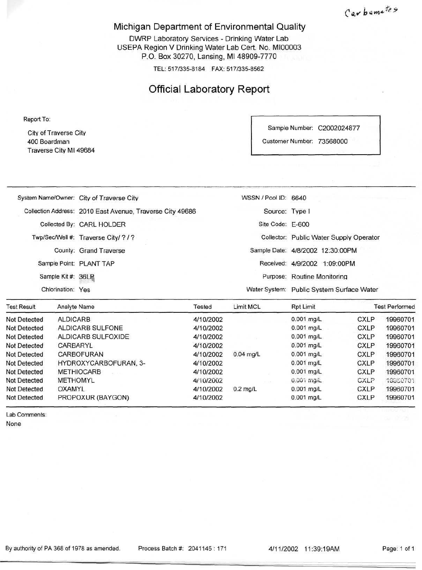Carbamates

#### Michigan Department of Environmental Quality

DWRP Laboratory Services - Drinking Water Lab USEPA Region V Drinking Water Lab Cert. No. MI00003 P.O. Box 30270, Lansing, Ml 48909-7770

TEL: 517/335-8184 FAX: 517/335-8562

## Official Laboratory Report

Report To:

City of Traverse Citv 400 Boardman Traverse City Ml 49684

| Sample Number:          | C2002024877 |  |
|-------------------------|-------------|--|
| <b>Customer Number:</b> | 73568000    |  |

| 2008년 1월 20일 : 10월 20일<br>The three to the state of the state of the | a provided the first state of the control of              | - 2008 P. A. (2008) 2012/06/25 P.M. | the first the state and the control of the<br>and a first state of a second to their |
|----------------------------------------------------------------------|-----------------------------------------------------------|-------------------------------------|--------------------------------------------------------------------------------------|
| Chlorination: Yes                                                    |                                                           |                                     | Water System: Public System Surface Water                                            |
| Sample Kit #: 36LP                                                   |                                                           |                                     | Purpose: Routine Monitoring                                                          |
|                                                                      | Sample Point: PLANT TAP                                   |                                     | Received: 4/9/2002 1:09:00PM                                                         |
|                                                                      | County: Grand Traverse                                    |                                     | Sample Date: 4/8/2002 12:30:00PM                                                     |
|                                                                      | Twp/Sec/Well #: Traverse City/ ? / ?                      |                                     | Collector: Public Water Supply Operator                                              |
|                                                                      | Collected By: CARL HOLDER                                 | Site Code: E-600                    |                                                                                      |
|                                                                      | Collection Address: 2010 East Avenue, Traverse City 49686 | Source: Type I                      |                                                                                      |
|                                                                      | System Name/Owner: City of Traverse City                  | WSSN / Pool ID: 6640                |                                                                                      |
|                                                                      |                                                           |                                     |                                                                                      |

| <b>Test Result</b>  | <b>Analyte Name</b>   | Tested    | Limit MCL   | <b>Rpt Limit</b> | <b>Test Performed</b> |          |  |
|---------------------|-----------------------|-----------|-------------|------------------|-----------------------|----------|--|
| Not Detected        | <b>ALDICARB</b>       | 4/10/2002 |             | $0.001$ mg/L     | <b>CXLP</b>           | 19960701 |  |
| Not Detected        | ALDICARB SULFONE      | 4/10/2002 |             | $0.001$ mg/L     | <b>CXLP</b>           | 19960701 |  |
| Not Detected        | ALDICARB SULFOXIDE    | 4/10/2002 |             | $0.001$ mg/L     | <b>CXLP</b>           | 19960701 |  |
| <b>Not Detected</b> | CARBARYL              | 4/10/2002 |             | $0.001$ mg/L     | <b>CXLP</b>           | 19960701 |  |
| Not Detected        | CARBOFURAN            | 4/10/2002 | $0.04$ mg/L | $0.001$ mg/L     | <b>CXLP</b>           | 19960701 |  |
| <b>Not Detected</b> | HYDROXYCARBOFURAN, 3- | 4/10/2002 |             | $0.001$ mg/L     | <b>CXLP</b>           | 19960701 |  |
| Not Detected        | <b>METHIOCARB</b>     | 4/10/2002 |             | $0.001$ mg/L     | <b>CXLP</b>           | 19960701 |  |
| <b>Not Detected</b> | <b>METHOMYL</b>       | 4/10/2002 |             | 0.001 mg/L       | CXLP                  | 19960701 |  |
| Not Detected        | OXAMYL                | 4/10/2002 | $0.2$ mg/L  | $0.001$ mg/L     | <b>CXLP</b>           | 19960701 |  |
| Not Detected        | PROPOXUR (BAYGON)     | 4/10/2002 |             | $0.001$ mg/L     | <b>CXLP</b>           | 19960701 |  |

Lab Comments:

None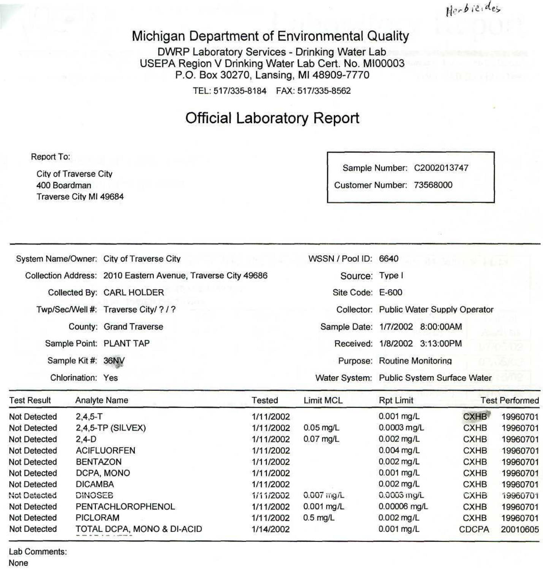Herbieldes

## Michigan Department of Environmental Quality

DWRP Laboratory Services - Drinking Water Lab USEPA Region V Drinking Water Lab Cert. No. MI00003 P.O. Box 30270, Lansing, Ml 48909-7770

TEL: 517/335-8184 FAX: 517/335-8562

## Official Laboratory Report

Report To:

City of Traverse City 400 Boardman Traverse City Ml 49684 Sample Number: C2002013747

Customer Number: 73568000

| System Name/Owner: City of Traverse City                     |                                | WSSN / Pool ID: 6640                 |              | di semi je pastal           |                                           |              |                       |
|--------------------------------------------------------------|--------------------------------|--------------------------------------|--------------|-----------------------------|-------------------------------------------|--------------|-----------------------|
| Collection Address: 2010 Eastern Avenue, Traverse City 49686 |                                | Source: Type I                       |              |                             |                                           |              |                       |
| Collected By: CARL HOLDER                                    |                                | Site Code: E-600                     |              |                             |                                           |              |                       |
|                                                              |                                | Twp/Sec/Well #: Traverse City/ ? / ? |              |                             | Collector: Public Water Supply Operator   |              |                       |
|                                                              |                                | County: Grand Traverse               |              |                             | Sample Date: 1/7/2002 8:00:00AM           |              |                       |
|                                                              |                                | Sample Point: PLANT TAP              |              |                             | Received: 1/8/2002 3:13:00PM              |              |                       |
|                                                              | Sample Kit #: 36NV             |                                      |              |                             | Purpose: Routine Monitoring               |              |                       |
|                                                              | Chlorination: Yes              |                                      |              |                             | Water System: Public System Surface Water |              |                       |
| <b>Test Result</b>                                           |                                | Analyte Name                         | Tested       | <b>Limit MCL</b>            | Rpt Limit                                 |              | <b>Test Performed</b> |
| <b>Not Detected</b>                                          | $2,4,5 - T$                    |                                      | 1/11/2002    |                             | 0.001 mg/L                                | <b>CXHB</b>  | 19960701              |
| <b>Not Detected</b>                                          |                                | 2,4,5-TP (SILVEX)                    | 1/11/2002    | $0.05$ mg/L                 | $0.0003$ mg/L                             | <b>CXHB</b>  | 19960701              |
| <b>Not Detected</b>                                          | $2,4-D$                        |                                      | 1/11/2002    | 0.07 mg/L                   | $0.002$ mg/L                              | <b>CXHB</b>  | 19960701              |
| <b>Not Detected</b>                                          |                                | <b>ACIFLUORFEN</b>                   | 1/11/2002    |                             | 0.004 mg/L<br><b>CXHB</b>                 |              | 19960701              |
| <b>Not Detected</b>                                          | <b>BENTAZON</b>                |                                      | 1/11/2002    | $0.002$ mg/L                |                                           | <b>CXHB</b>  | 19960701              |
| <b>Not Detected</b>                                          |                                | DCPA, MONO                           | 1/11/2002    |                             | $0.001$ mg/L                              | <b>CXHB</b>  | 19960701              |
| <b>Not Detected</b>                                          | <b>DICAMBA</b>                 |                                      | 1/11/2002    |                             | $0.002$ mg/L                              | <b>CXHB</b>  | 19960701              |
| <b>Not Detected</b>                                          | <b>DINOSEB</b>                 |                                      | 1/11/2002    | $0.007$ ing/L               | 0.0003 mg/L                               | <b>CXHB</b>  | 19960701              |
| <b>Not Detected</b>                                          | PENTACHLOROPHENOL<br>1/11/2002 |                                      | $0.001$ mg/L | 0.00006 mg/L<br><b>CXHB</b> |                                           | 19960701     |                       |
| Not Detected                                                 | <b>PICLORAM</b><br>1/11/2002   |                                      | $0.5$ mg/L   | $0.002$ mg/L<br><b>CXHB</b> |                                           | 19960701     |                       |
| <b>Not Detected</b>                                          |                                | TOTAL DCPA, MONO & DI-ACID           | 1/14/2002    |                             | $0.001$ mg/L                              | <b>CDCPA</b> | 20010605              |

Lab Comments: None